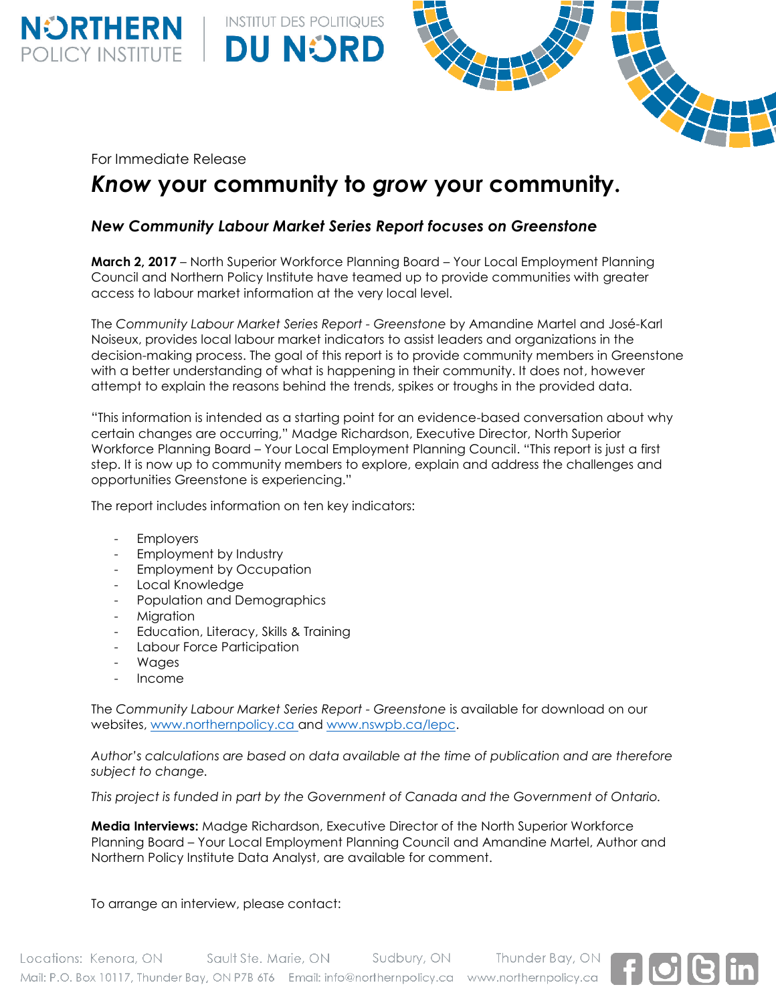For Immediate Release

**NÜRTHERN**<br>POLICY INSTITUTE

# *Know* **your community to** *grow* **your community.**

## *New Community Labour Market Series Report focuses on Greenstone*

**INSTITUT DES POLITIQUES** 

**DU NORD** 

**March 2, 2017** – North Superior Workforce Planning Board – Your Local Employment Planning Council and Northern Policy Institute have teamed up to provide communities with greater access to labour market information at the very local level.

The *Community Labour Market Series Report - Greenstone* by Amandine Martel and José-Karl Noiseux, provides local labour market indicators to assist leaders and organizations in the decision-making process. The goal of this report is to provide community members in Greenstone with a better understanding of what is happening in their community. It does not, however attempt to explain the reasons behind the trends, spikes or troughs in the provided data.

"This information is intended as a starting point for an evidence-based conversation about why certain changes are occurring," Madge Richardson, Executive Director, North Superior Workforce Planning Board – Your Local Employment Planning Council. "This report is just a first step. It is now up to community members to explore, explain and address the challenges and opportunities Greenstone is experiencing."

The report includes information on ten key indicators:

- Employers
- Employment by Industry
- Employment by Occupation
- Local Knowledge
- Population and Demographics
- Migration
- Education, Literacy, Skills & Training
- Labour Force Participation
- Wages
- Income

The *Community Labour Market Series Report - Greenstone* is available for download on our websites, [www.northernpolicy.ca](http://www.northernpolicy.ca/) and [www.nswpb.ca/lepc.](http://www.nswpb.ca/lepc)

*Author's calculations are based on data available at the time of publication and are therefore subject to change.*

*This project is funded in part by the Government of Canada and the Government of Ontario.*

**Media Interviews:** Madge Richardson, Executive Director of the North Superior Workforce Planning Board – Your Local Employment Planning Council and Amandine Martel, Author and Northern Policy Institute Data Analyst, are available for comment.

To arrange an interview, please contact: